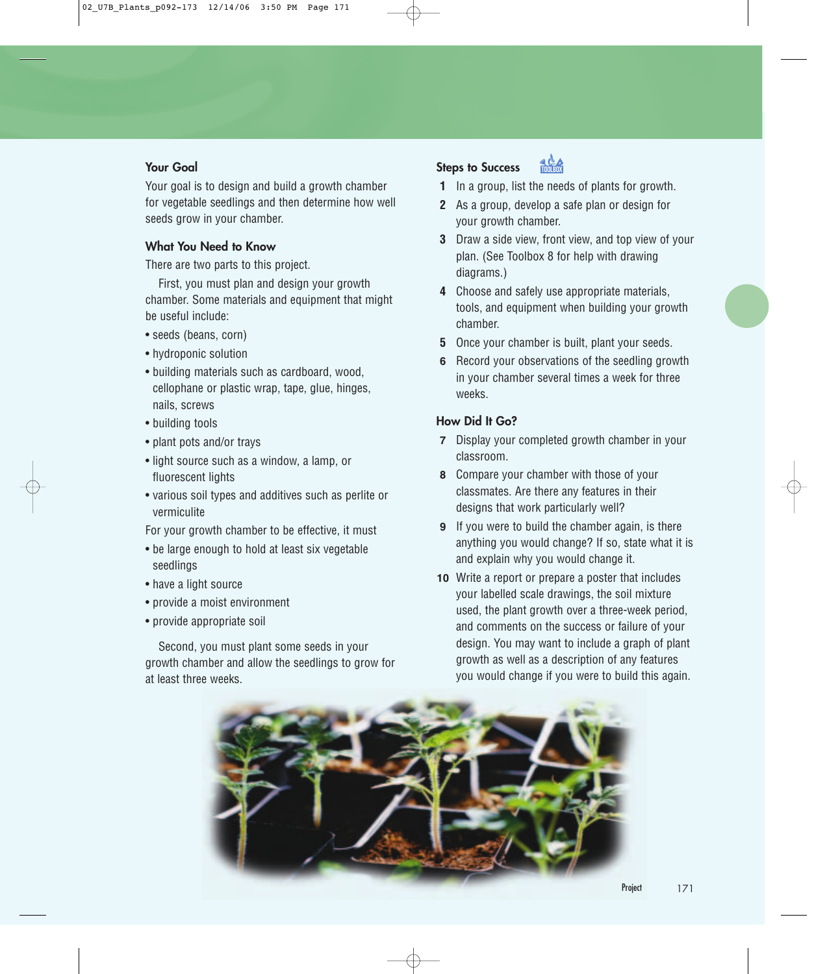#### **Your Goal**

Your goal is to design and build a growth chamber for vegetable seedlings and then determine how well seeds grow in your chamber.

#### **What You Need to Know**

There are two parts to this project.

First, you must plan and design your growth chamber. Some materials and equipment that might be useful include:

- seeds (beans, corn)
- hydroponic solution
- building materials such as cardboard, wood, cellophane or plastic wrap, tape, glue, hinges, nails, screws
- building tools
- plant pots and/or trays
- light source such as a window, a lamp, or fluorescent lights
- various soil types and additives such as perlite or vermiculite
- For your growth chamber to be effective, it must
- be large enough to hold at least six vegetable seedlings
- have a light source
- provide a moist environment
- provide appropriate soil

Second, you must plant some seeds in your growth chamber and allow the seedlings to grow for at least three weeks.

#### **Steps to Success**



- **1** In a group, list the needs of plants for growth.
- **2** As a group, develop a safe plan or design for your growth chamber.
- **3** Draw a side view, front view, and top view of your plan. (See Toolbox 8 for help with drawing diagrams.)
- **4** Choose and safely use appropriate materials, tools, and equipment when building your growth chamber.
- **5** Once your chamber is built, plant your seeds.
- **6** Record your observations of the seedling growth in your chamber several times a week for three weeks.

#### **How Did It Go?**

- **7** Display your completed growth chamber in your classroom.
- **8** Compare your chamber with those of your classmates. Are there any features in their designs that work particularly well?
- **9** If you were to build the chamber again, is there anything you would change? If so, state what it is and explain why you would change it.
- **10** Write a report or prepare a poster that includes your labelled scale drawings, the soil mixture used, the plant growth over a three-week period, and comments on the success or failure of your design. You may want to include a graph of plant growth as well as a description of any features you would change if you were to build this again.

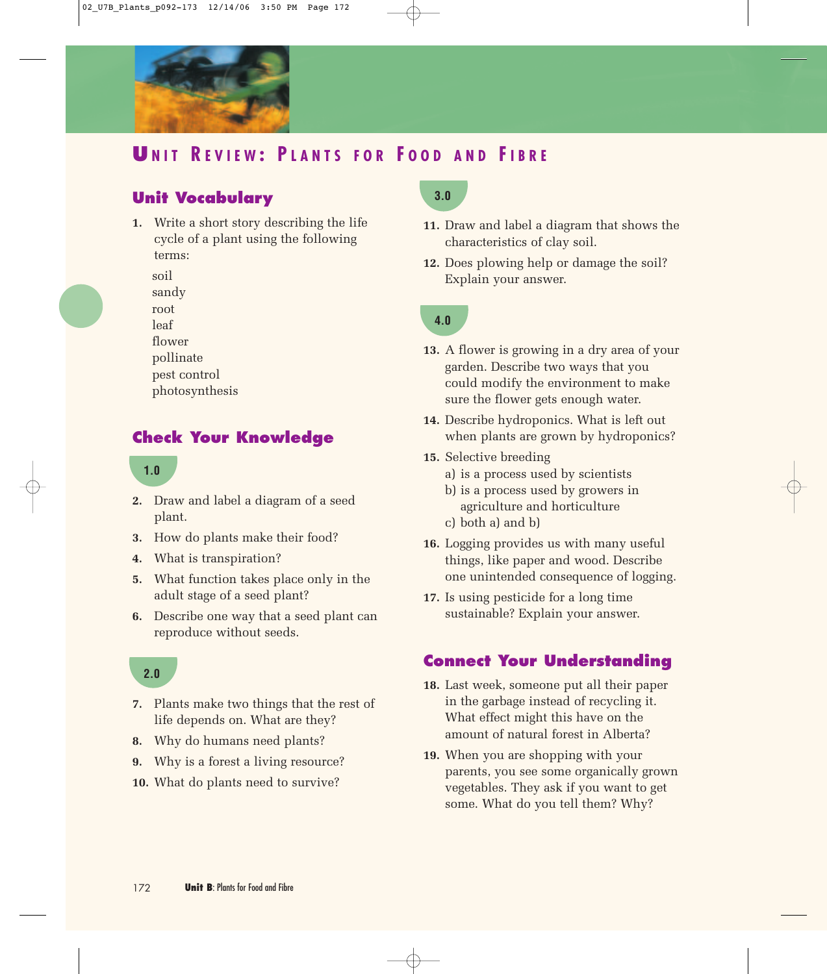

# **U NIT R EVIEW : P LANTS FOR F OOD AND FIBRE**

# **Unit Vocabulary**

**1.** Write a short story describing the life cycle of a plant using the following terms:

soil

sandy

root

leaf

flower

pollinate

pest control

photosynthesis

### **Check Your Knowledge**

#### **1.0**

- **2.** Draw and label a diagram of a seed plant.
- **3.** How do plants make their food?
- **4.** What is transpiration?
- **5.** What function takes place only in the adult stage of a seed plant?
- **6.** Describe one way that a seed plant can reproduce without seeds.

#### **2.0**

- **7.** Plants make two things that the rest of life depends on. What are they?
- **8.** Why do humans need plants?
- **9.** Why is a forest a living resource?
- **10.** What do plants need to survive?

# **3.0**

- **11.** Draw and label a diagram that shows the characteristics of clay soil.
- **12.** Does plowing help or damage the soil? Explain your answer.

# **4.0**

- **13.** A flower is growing in a dry area of your garden. Describe two ways that you could modify the environment to make sure the flower gets enough water.
- **14.** Describe hydroponics. What is left out when plants are grown by hydroponics?
- **15.** Selective breeding
	- a) is a process used by scientists
	- b) is a process used by growers in agriculture and horticulture c) both a) and b)
- **16.** Logging provides us with many useful things, like paper and wood. Describe

one unintended consequence of logging.

**17.** Is using pesticide for a long time sustainable? Explain your answer.

### **Connect Your Understanding**

- **18.** Last week, someone put all their paper in the garbage instead of recycling it. What effect might this have on the amount of natural forest in Alberta?
- **19.** When you are shopping with your parents, you see some organically grown vegetables. They ask if you want to get some. What do you tell them? Why?